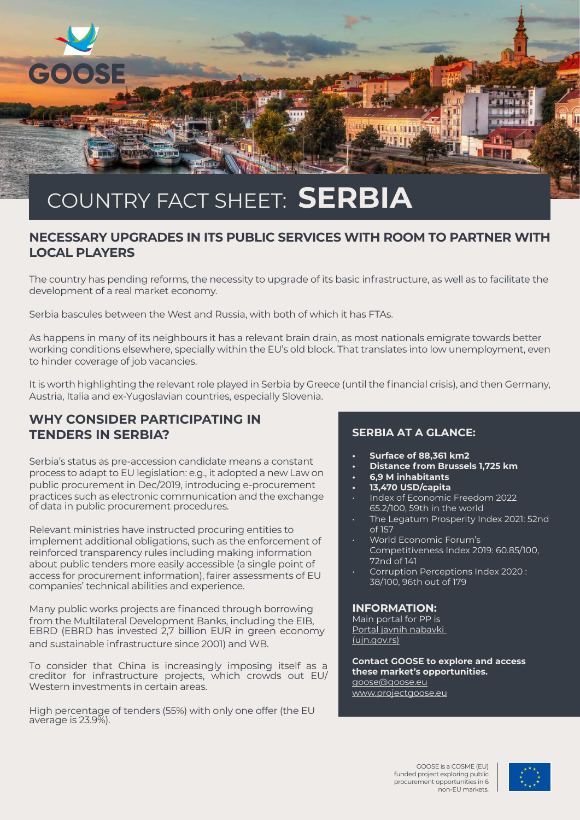

## **NECESSARY UPGRADES IN ITS PUBLIC SERVICES WITH ROOM TO PARTNER WITH LOCAL PLAYERS**

The country has pending reforms, the necessity to upgrade of its basic infrastructure, as well as to facilitate the development of a real market economy.

Serbia bascules between the West and Russia, with both of which it has FTAs.

As happens in many of its neighbours it has a relevant brain drain, as most nationals emigrate towards better working conditions elsewhere, specially within the EU's old block. That translates into low unemployment, even to hinder coverage of job vacancies.

It is worth highlighting the relevant role played in Serbia by Greece (until the financial crisis), and then Germany, Austria, Italia and ex-Yugoslavian countries, especially Slovenia.

### **WHY CONSIDER PARTICIPATING IN TENDERS IN SERBIA?**

Serbia's status as pre-accession candidate means a constant process to adapt to EU legislation: e.g., it adopted a new Law on public procurement in Dec/2019, introducing e-procurement practices such as electronic communication and the exchange of data in public procurement procedures.

Relevant ministries have instructed procuring entities to implement additional obligations, such as the enforcement of reinforced transparency rules including making information about public tenders more easily accessible (a single point of access for procurement information), fairer assessments of EU companies' technical abilities and experience.

Many public works projects are financed through borrowing from the Multilateral Development Banks, including the EIB, EBRD (EBRD has invested 2,7 billion EUR in green economy and sustainable infrastructure since 2001) and WB.

To consider that China is increasingly imposing itself as a creditor for infrastructure projects, which crowds out EU/ Western investments in certain areas.

High percentage of tenders (55%) with only one offer (the EU average is 23.9%).

### **SERBIA AT A GLANCE:**

- **• Surface of 88,361 km2**
- **• Distance from Brussels 1,725 km**
- **• 6,9 M inhabitants**
- **• 13,470 USD/capita**
- Index of Economic Freedom 2022 65.2/100, 59th in the world
- The Legatum Prosperity Index 2021: 52nd of 157
- World Economic Forum's Competitiveness Index 2019: 60.85/100, 72nd of 141
- Corruption Perceptions Index 2020 : 38/100, 96th out of 179

#### **INFORMATION:**

Main portal for PP is Portal javnih nabavki (ujn.gov.rs)

**Contact GOOSE to explore and access these market's opportunities.**  goose@goose.eu www.projectgoose.eu